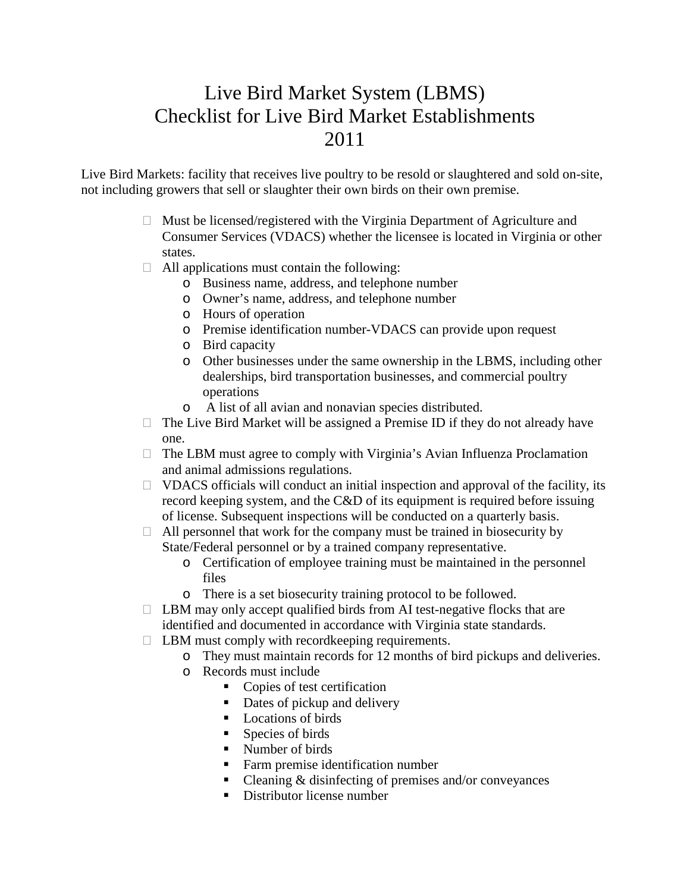## Live Bird Market System (LBMS) Checklist for Live Bird Market Establishments 2011

Live Bird Markets: facility that receives live poultry to be resold or slaughtered and sold on-site, not including growers that sell or slaughter their own birds on their own premise.

- $\Box$  Must be licensed/registered with the Virginia Department of Agriculture and Consumer Services (VDACS) whether the licensee is located in Virginia or other states.
- $\Box$  All applications must contain the following:
	- o Business name, address, and telephone number
	- o Owner's name, address, and telephone number
	- o Hours of operation
	- o Premise identification number-VDACS can provide upon request
	- o Bird capacity
	- o Other businesses under the same ownership in the LBMS, including other dealerships, bird transportation businesses, and commercial poultry operations
	- o A list of all avian and nonavian species distributed.
- $\Box$  The Live Bird Market will be assigned a Premise ID if they do not already have one.
- $\Box$  The LBM must agree to comply with Virginia's Avian Influenza Proclamation and animal admissions regulations.
- $\Box$  VDACS officials will conduct an initial inspection and approval of the facility, its record keeping system, and the C&D of its equipment is required before issuing of license. Subsequent inspections will be conducted on a quarterly basis.
- $\Box$  All personnel that work for the company must be trained in biosecurity by State/Federal personnel or by a trained company representative.
	- o Certification of employee training must be maintained in the personnel files
	- o There is a set biosecurity training protocol to be followed.
- $\Box$  LBM may only accept qualified birds from AI test-negative flocks that are identified and documented in accordance with Virginia state standards.
- $\Box$  LBM must comply with record keeping requirements.
	- o They must maintain records for 12 months of bird pickups and deliveries.
	- o Records must include
		- Copies of test certification
		- Dates of pickup and delivery
		- **Locations of birds**
		- Species of birds
		- Number of birds
		- Farm premise identification number
		- Cleaning & disinfecting of premises and/or conveyances
		- Distributor license number